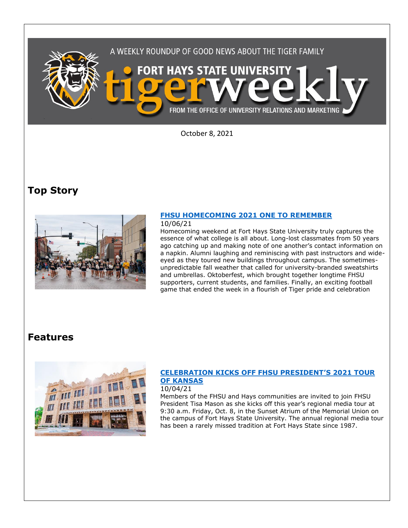

October 8, 2021

## **Top Story**



### **[FHSU HOMECOMING 2021 ONE TO REMEMBER](https://www.fhsu.edu/news/2021/10/fhsu-homecoming-2021-one-to-remember)**

### 10/06/21

Homecoming weekend at Fort Hays State University truly captures the essence of what college is all about. Long-lost classmates from 50 years ago catching up and making note of one another's contact information on a napkin. Alumni laughing and reminiscing with past instructors and wideeyed as they toured new buildings throughout campus. The sometimesunpredictable fall weather that called for university-branded sweatshirts and umbrellas. Oktoberfest, which brought together longtime FHSU supporters, current students, and families. Finally, an exciting football game that ended the week in a flourish of Tiger pride and celebration

## **Features**



## **[CELEBRATION KICKS OFF FHSU PRESIDENT](https://www.fhsu.edu/news/2021/10/celebration-kicks-off-fhsu-presidents-2021-tour-of-kansas)'S 2021 TOUR [OF KANSAS](https://www.fhsu.edu/news/2021/10/celebration-kicks-off-fhsu-presidents-2021-tour-of-kansas)**

### 10/04/21

Members of the FHSU and Hays communities are invited to join FHSU President Tisa Mason as she kicks off this year's regional media tour at 9:30 a.m. Friday, Oct. 8, in the Sunset Atrium of the Memorial Union on the campus of Fort Hays State University. The annual regional media tour has been a rarely missed tradition at Fort Hays State since 1987.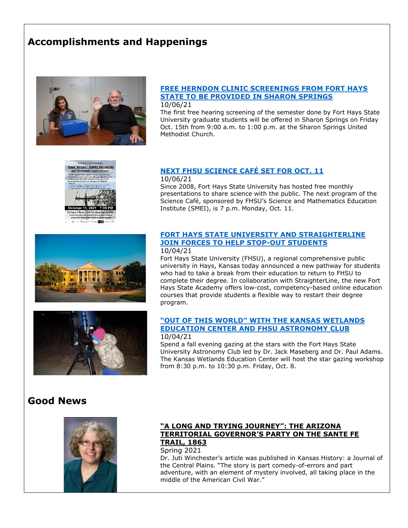# **Accomplishments and Happenings**



## **[FREE HERNDON CLINIC SCREENINGS FROM FORT HAYS](https://www.fhsu.edu/news/2021/10/free-herndon-clinic-screenings-from-fort-hays-state-to-be-provided-in-sharon-springs)  [STATE TO BE PROVIDED IN SHARON SPRINGS](https://www.fhsu.edu/news/2021/10/free-herndon-clinic-screenings-from-fort-hays-state-to-be-provided-in-sharon-springs)**

10/06/21

The first free hearing screening of the semester done by Fort Hays State University graduate students will be offered in Sharon Springs on Friday Oct. 15th from 9:00 a.m. to 1:00 p.m. at the Sharon Springs United Methodist Church.



# **[NEXT FHSU SCIENCE CAFÉ](https://www.fhsu.edu/news/2021/10/next-fhsu-science-cafe-set-for-oct.-11) SET FOR OCT. 11**

10/06/21

Since 2008, Fort Hays State University has hosted free monthly presentations to share science with the public. The next program of the Science Café, sponsored by FHSU's Science and Mathematics Education Institute (SMEI), is 7 p.m. Monday, Oct. 11.





#### **FORT HAYS [STATE UNIVERSITY AND STRAIGHTERLINE](https://www.fhsu.edu/news/2021/10/fort-hays-state-university-and-straighterline-join-forces-to-help-stop-out-students)  [JOIN FORCES TO HELP STOP-OUT STUDENTS](https://www.fhsu.edu/news/2021/10/fort-hays-state-university-and-straighterline-join-forces-to-help-stop-out-students)**  10/04/21

Fort Hays State University (FHSU), a regional comprehensive public university in Hays, Kansas today announced a new pathway for students who had to take a break from their education to return to FHSU to complete their degree. In collaboration with StraighterLine, the new Fort Hays State Academy offers low-cost, competency-based online education courses that provide students a flexible way to restart their degree program.

#### **["OUT OF THIS WOR](https://www.fhsu.edu/news/2021/10/out-of-this-world-with-the-kansas-wetlands-education-center-and-fhsu-astronomy-club)LD" WITH THE KANSAS WETLANDS [EDUCATION CENTER AND FHSU](https://www.fhsu.edu/news/2021/10/out-of-this-world-with-the-kansas-wetlands-education-center-and-fhsu-astronomy-club) ASTRONOMY CLUB** 10/04/21

Spend a fall evening gazing at the stars with the Fort Hays State University Astronomy Club led by Dr. Jack Maseberg and Dr. Paul Adams. The Kansas Wetlands Education Center will host the star gazing workshop from 8:30 p.m. to 10:30 p.m. Friday, Oct. 8.

# **Good News**



## **"A LONG AND TRYING JOURNEY": THE ARIZONA TERRITORIAL GOVERNOR'S PARTY ON THE SANTE FE TRAIL, 1863**

### Spring 2021

Dr. Juti Winchester's article was published in Kansas History: a Journal of the Central Plains. "The story is part comedy-of-errors and part adventure, with an element of mystery involved, all taking place in the middle of the American Civil War."